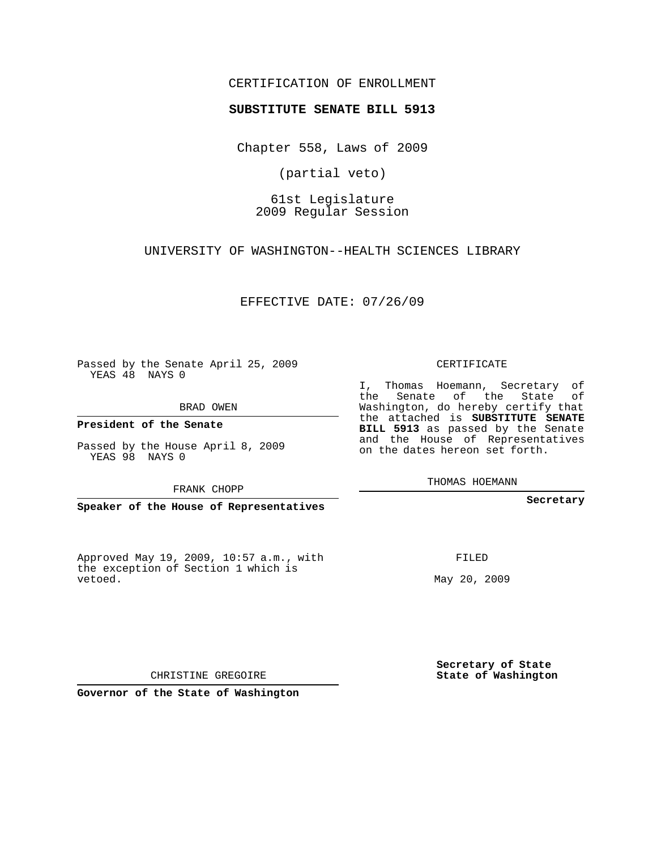## CERTIFICATION OF ENROLLMENT

## **SUBSTITUTE SENATE BILL 5913**

Chapter 558, Laws of 2009

(partial veto)

61st Legislature 2009 Regular Session

UNIVERSITY OF WASHINGTON--HEALTH SCIENCES LIBRARY

EFFECTIVE DATE: 07/26/09

Passed by the Senate April 25, 2009 YEAS 48 NAYS 0

YEAS 98 NAYS 0

Approved May 19, 2009, 10:57 a.m., with the exception of Section 1 which is vetoed.

CERTIFICATE

I, Thomas Hoemann, Secretary of the Senate of the State of Washington, do hereby certify that the attached is **SUBSTITUTE SENATE BILL 5913** as passed by the Senate and the House of Representatives on the dates hereon set forth.

THOMAS HOEMANN

**Secretary**

FILED

May 20, 2009

**Secretary of State State of Washington**

CHRISTINE GREGOIRE

**Governor of the State of Washington**

BRAD OWEN

**President of the Senate**

Passed by the House April 8, 2009

FRANK CHOPP

**Speaker of the House of Representatives**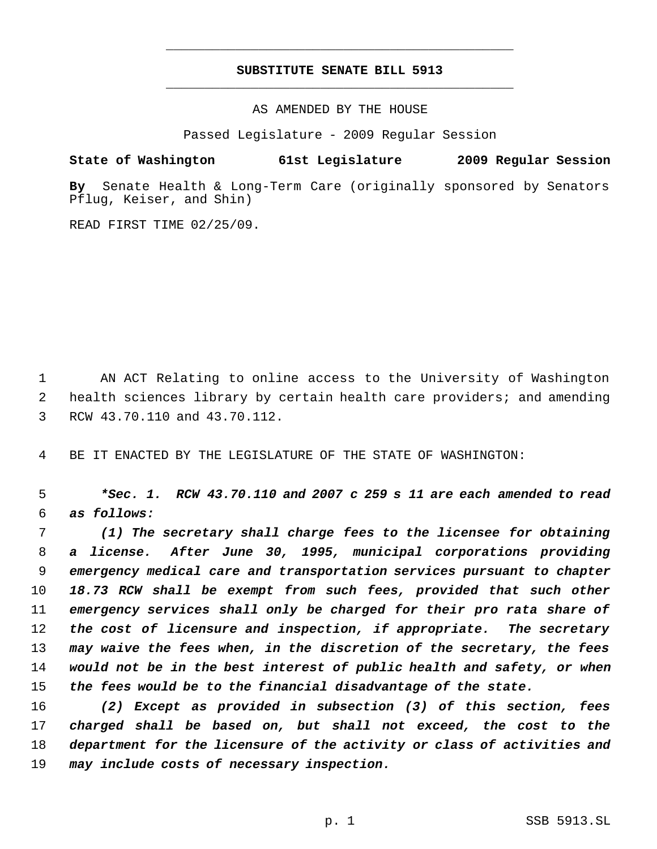## **SUBSTITUTE SENATE BILL 5913** \_\_\_\_\_\_\_\_\_\_\_\_\_\_\_\_\_\_\_\_\_\_\_\_\_\_\_\_\_\_\_\_\_\_\_\_\_\_\_\_\_\_\_\_\_

\_\_\_\_\_\_\_\_\_\_\_\_\_\_\_\_\_\_\_\_\_\_\_\_\_\_\_\_\_\_\_\_\_\_\_\_\_\_\_\_\_\_\_\_\_

AS AMENDED BY THE HOUSE

Passed Legislature - 2009 Regular Session

**State of Washington 61st Legislature 2009 Regular Session**

**By** Senate Health & Long-Term Care (originally sponsored by Senators Pflug, Keiser, and Shin)

READ FIRST TIME 02/25/09.

 AN ACT Relating to online access to the University of Washington health sciences library by certain health care providers; and amending RCW 43.70.110 and 43.70.112.

BE IT ENACTED BY THE LEGISLATURE OF THE STATE OF WASHINGTON:

 *\*Sec. 1. RCW 43.70.110 and 2007 c 259 s 11 are each amended to read as follows:*

 *(1) The secretary shall charge fees to the licensee for obtaining a license. After June 30, 1995, municipal corporations providing emergency medical care and transportation services pursuant to chapter 18.73 RCW shall be exempt from such fees, provided that such other emergency services shall only be charged for their pro rata share of the cost of licensure and inspection, if appropriate. The secretary may waive the fees when, in the discretion of the secretary, the fees would not be in the best interest of public health and safety, or when the fees would be to the financial disadvantage of the state.*

 *(2) Except as provided in subsection (3) of this section, fees charged shall be based on, but shall not exceed, the cost to the department for the licensure of the activity or class of activities and may include costs of necessary inspection.*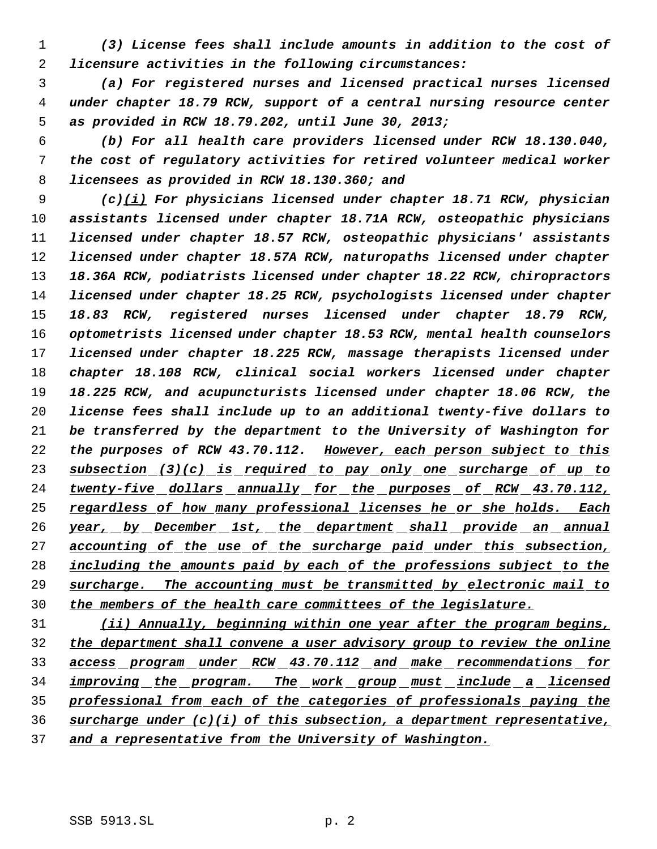*(3) License fees shall include amounts in addition to the cost of licensure activities in the following circumstances:*

 *(a) For registered nurses and licensed practical nurses licensed under chapter 18.79 RCW, support of a central nursing resource center as provided in RCW 18.79.202, until June 30, 2013;*

 *(b) For all health care providers licensed under RCW 18.130.040, the cost of regulatory activities for retired volunteer medical worker licensees as provided in RCW 18.130.360; and*

 *(c)(i) For physicians licensed under chapter 18.71 RCW, physician assistants licensed under chapter 18.71A RCW, osteopathic physicians licensed under chapter 18.57 RCW, osteopathic physicians' assistants licensed under chapter 18.57A RCW, naturopaths licensed under chapter 18.36A RCW, podiatrists licensed under chapter 18.22 RCW, chiropractors licensed under chapter 18.25 RCW, psychologists licensed under chapter 18.83 RCW, registered nurses licensed under chapter 18.79 RCW, optometrists licensed under chapter 18.53 RCW, mental health counselors licensed under chapter 18.225 RCW, massage therapists licensed under chapter 18.108 RCW, clinical social workers licensed under chapter 18.225 RCW, and acupuncturists licensed under chapter 18.06 RCW, the license fees shall include up to an additional twenty-five dollars to be transferred by the department to the University of Washington for the purposes of RCW 43.70.112. However, each person subject to this subsection (3)(c) is required to pay only one surcharge of up to twenty-five dollars annually for the purposes of RCW 43.70.112, regardless of how many professional licenses he or she holds. Each year, by December 1st, the department shall provide an annual accounting of the use of the surcharge paid under this subsection, including the amounts paid by each of the professions subject to the surcharge. The accounting must be transmitted by electronic mail to the members of the health care committees of the legislature.*

 *(ii) Annually, beginning within one year after the program begins, the department shall convene a user advisory group to review the online access program under RCW 43.70.112 and make recommendations for improving the program. The work group must include a licensed professional from each of the categories of professionals paying the surcharge under (c)(i) of this subsection, a department representative, and a representative from the University of Washington.*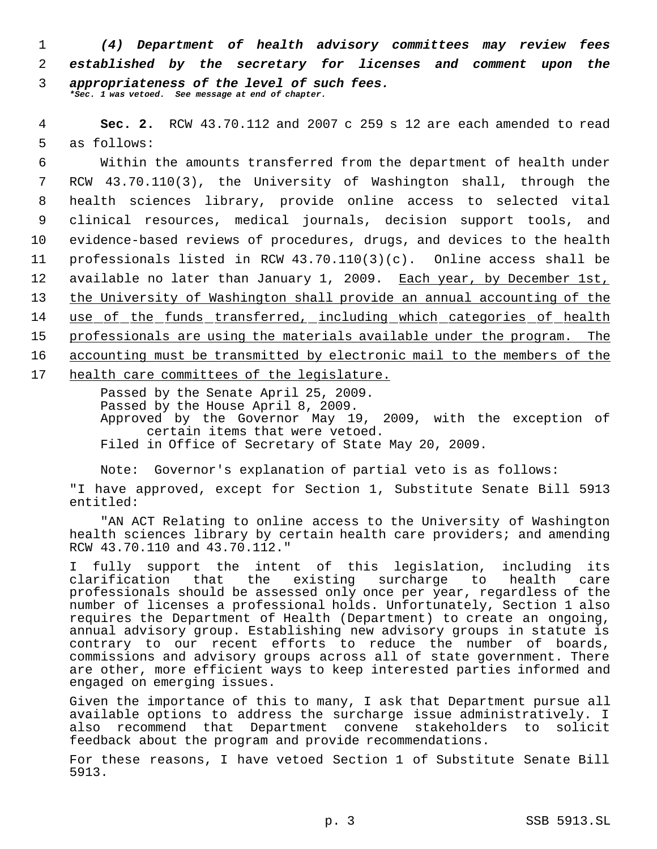*(4) Department of health advisory committees may review fees established by the secretary for licenses and comment upon the appropriateness of the level of such fees. \*Sec. 1 was vetoed. See message at end of chapter.*

 4 **Sec. 2.** RCW 43.70.112 and 2007 c 259 s 12 are each amended to read 5 as follows:

 Within the amounts transferred from the department of health under RCW 43.70.110(3), the University of Washington shall, through the health sciences library, provide online access to selected vital clinical resources, medical journals, decision support tools, and evidence-based reviews of procedures, drugs, and devices to the health professionals listed in RCW 43.70.110(3)(c). Online access shall be available no later than January 1, 2009. Each year, by December 1st, the University of Washington shall provide an annual accounting of the use of the funds transferred, including which categories of health professionals are using the materials available under the program. The accounting must be transmitted by electronic mail to the members of the health care committees of the legislature.

Passed by the Senate April 25, 2009. Passed by the House April 8, 2009. Approved by the Governor May 19, 2009, with the exception of certain items that were vetoed. Filed in Office of Secretary of State May 20, 2009.

Note: Governor's explanation of partial veto is as follows:

"I have approved, except for Section 1, Substitute Senate Bill 5913 entitled:

"AN ACT Relating to online access to the University of Washington health sciences library by certain health care providers; and amending RCW 43.70.110 and 43.70.112."

I fully support the intent of this legislation, including its clarification that the existing surcharge to health care professionals should be assessed only once per year, regardless of the number of licenses a professional holds. Unfortunately, Section 1 also requires the Department of Health (Department) to create an ongoing, annual advisory group. Establishing new advisory groups in statute is contrary to our recent efforts to reduce the number of boards, commissions and advisory groups across all of state government. There are other, more efficient ways to keep interested parties informed and engaged on emerging issues.

Given the importance of this to many, I ask that Department pursue all available options to address the surcharge issue administratively. I also recommend that Department convene stakeholders to solicit feedback about the program and provide recommendations.

For these reasons, I have vetoed Section 1 of Substitute Senate Bill 5913.